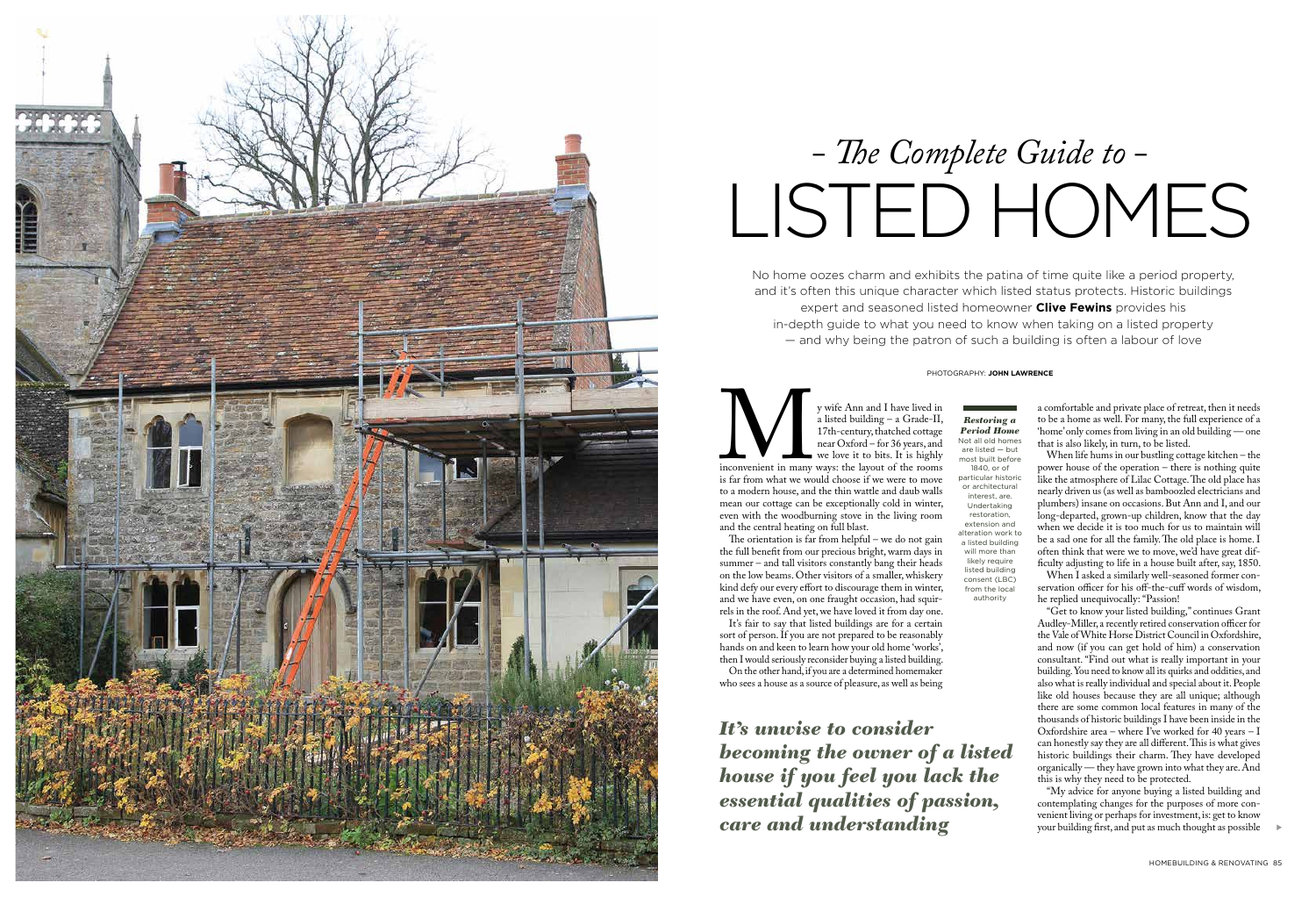No home oozes charm and exhibits the patina of time quite like a period property, and it's often this unique character which listed status protects. Historic buildings expert and seasoned listed homeowner **Clive Fewins** provides his in-depth guide to what you need to know when taking on a listed property — and why being the patron of such a building is often a labour of love

y wife Ann and I have lived in<br>
a listed building – a Grade-II,<br>
17th-century, thatched cottage<br>
near Oxford – for 36 years, and<br>
we love it to bits. It is highly<br>
inconvenient in many ways: the layout of the rooms<br>
is far a listed building – a Grade-II, 17th-century, thatched cottage near Oxford – for 36 years, and we love it to bits. It is highly inconvenient in many ways: the layout of the rooms is far from what we would choose if we were to move to a modern house, and the thin wattle and daub walls mean our cottage can be exceptionally cold in winter, even with the woodburning stove in the living room and the central heating on full blast.

The orientation is far from helpful – we do not gain the full benefit from our precious bright, warm days in summer – and tall visitors constantly bang their heads on the low beams. Other visitors of a smaller, whiskery kind defy our every effort to discourage them in winter, and we have even, on one fraught occasion, had squir rels in the roof. And yet, we have loved it from day one.

It's fair to say that listed buildings are for a certain sort of person. If you are not prepared to be reasonably hands on and keen to learn how your old home 'works', then I would seriously reconsider buying a listed building. On the other hand, if you are a determined homemaker

who sees a house as a source of pleasure, as well as being

s

# LISTED HOMES *- The Complete Guide to -*





# *Restoring a Period Home*

Not all old homes are listed — but most built before 1840, or of particular historic or architectural interest, are. Undertaking restoration, extension and alteration work to a listed building will more than likely require listed building consent (LBC) from the local authority

a comfortable and private place of retreat, then it needs to be a home as well. For many, the full experience of a 'home' only comes from living in an old building — one that is also likely, in turn, to be listed.

When life hums in our bustling cottage kitchen – the power house of the operation – there is nothing quite like the atmosphere of Lilac Cottage. The old place has nearly driven us (as well as bamboozled electricians and plumbers) insane on occasions. But Ann and I, and our long-departed, grown-up children, know that the day when we decide it is too much for us to maintain will be a sad one for all the family. The old place is home. I often think that were we to move, we'd have great difficulty adjusting to life in a house built after, say, 1850.

When I asked a similarly well-seasoned former con servation officer for his off-the-cuff words of wisdom, he replied unequivocally: "Passion!

"Get to know your listed building," continues Grant Audley-Miller, a recently retired conservation officer for the Vale of White Horse District Council in Oxfordshire, and now (if you can get hold of him) a conservation consultant. "Find out what is really important in your building. You need to know all its quirks and oddities, and also what is really individual and special about it. People like old houses because they are all unique; although there are some common local features in many of the thousands of historic buildings I have been inside in the Oxfordshire area – where I've worked for 40 years – I can honestly say they are all different. This is what gives historic buildings their charm. They have developed organically — they have grown into what they are. And this is why they need to be protected.

"My advice for anyone buying a listed building and contemplating changes for the purposes of more con venient living or perhaps for investment, is: get to know your building first, and put as much thought as possible

*It's unwise to consider becoming the owner of a listed house if you feel you lack the essential qualities of passion, care and understanding*

#### PHOTOGRAPHY: **JOHN LAWRENCE**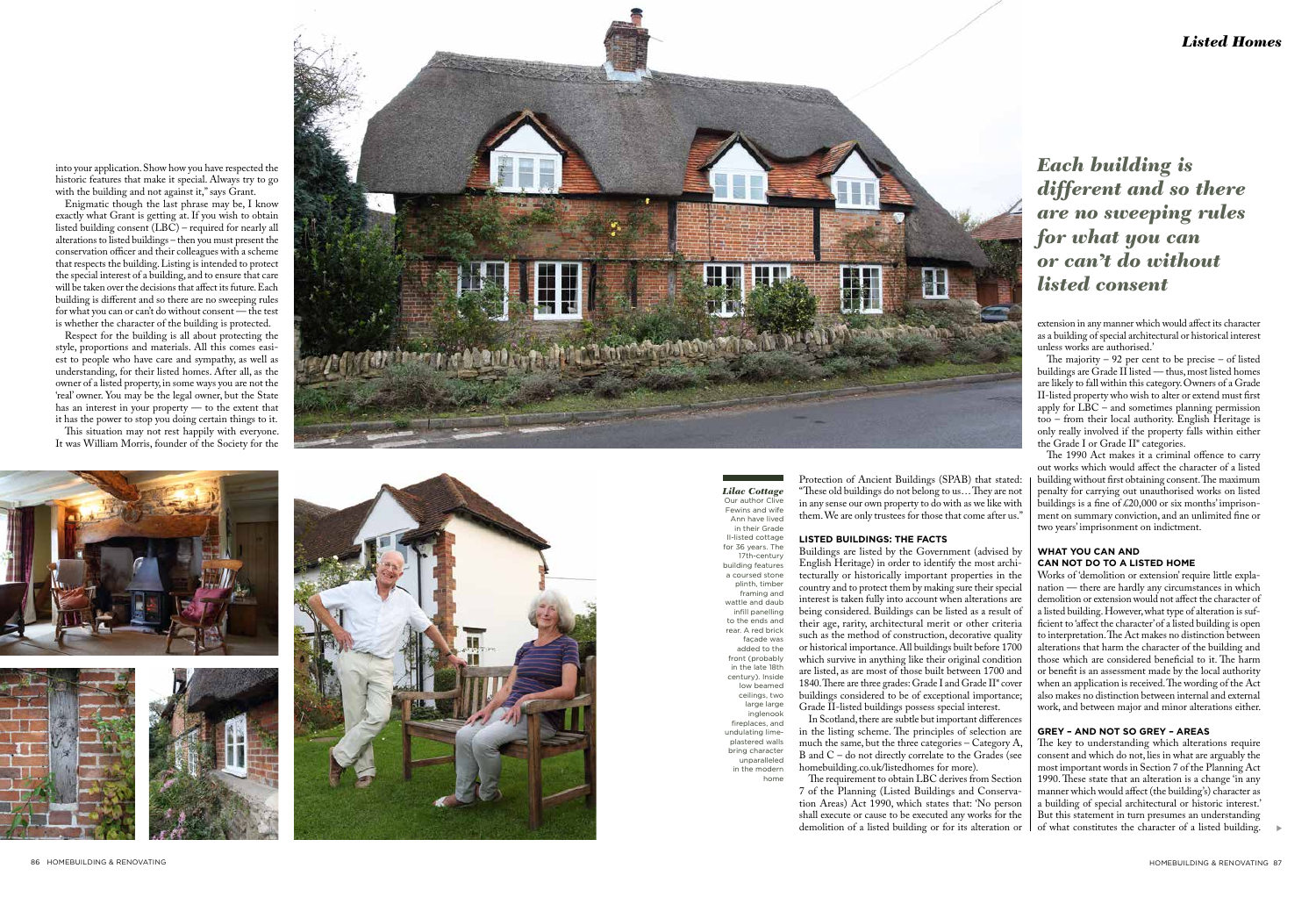

into your application. Show how you have respected the historic features that make it special. Always try to go with the building and not against it," says Grant.

# *Each building is different and so there are no sweeping rules for what you can or can't do without listed consent*

Enigmatic though the last phrase may be, I know exactly what Grant is getting at. If you wish to obtain listed building consent (LBC) – required for nearly all alterations to listed buildings – then you must present the conservation officer and their colleagues with a scheme that respects the building. Listing is intended to protect the special interest of a building, and to ensure that care will be taken over the decisions that affect its future. Each building is different and so there are no sweeping rules for what you can or can't do without consent — the test is whether the character of the building is protected.

Respect for the building is all about protecting the style, proportions and materials. All this comes easi est to people who have care and sympathy, as well as understanding, for their listed homes. After all, as the owner of a listed property, in some ways you are not the 'real' owner. You may be the legal owner, but the State has an interest in your property — to the extent that it has the power to stop you doing certain things to it. This situation may not rest happily with everyone.

It was William Morris, founder of the Society for the









*Lilac Cottage* Our author Clive Fewins and wife Ann have lived in their Grade II-listed cottage for 36 years. The 17th-century building features a coursed stone plinth, timber framing and wattle and daub infill panelling to the ends and rear. A red brick façade was added to the front (probably in the late 18th century). Inside low beamed ceilings, two large large inglenook fireplaces, and undulating limeplastered walls bring character unparalleled in the modern

home

Protection of Ancient Buildings (SPAB) that stated: "These old buildings do not belong to us… They are not in any sense our own property to do with as we like with them. We are only trustees for those that come after us."

## **LISTED BUILDINGS: THE FACTS**

Buildings are listed by the Government (advised by English Heritage) in order to identify the most archi tecturally or historically important properties in the country and to protect them by making sure their special interest is taken fully into account when alterations are being considered. Buildings can be listed as a result of their age, rarity, architectural merit or other criteria such as the method of construction, decorative quality or historical importance. All buildings built before 1700 which survive in anything like their original condition are listed, as are most of those built between 1700 and 1840. There are three grades: Grade I and Grade II\* cover buildings considered to be of exceptional importance; Grade II-listed buildings possess special interest.

> of what constitutes the character of a listed building.  $\qquad \blacktriangleright$ The key to understanding which alterations require consent and which do not, lies in what are arguably the most important words in Section 7 of the Planning Act 1990. These state that an alteration is a change 'in any manner which would affect (the building's) character as a building of special architectural or historic interest.' But this statement in turn presumes an understanding

In Scotland, there are subtle but important differences in the listing scheme. The principles of selection are much the same, but the three categories – Category A, B and C – do not directly correlate to the Grades (see homebuilding.co.uk/listedhomes for more).

The requirement to obtain LBC derives from Section 7 of the Planning (Listed Buildings and Conserva tion Areas) Act 1990, which states that: 'No person shall execute or cause to be executed any works for the demolition of a listed building or for its alteration or

extension in any manner which would affect its character as a building of special architectural or historical interest unless works are authorised.'

The majority – 92 per cent to be precise – of listed buildings are Grade II listed — thus, most listed homes are likely to fall within this category. Owners of a Grade II-listed property who wish to alter or extend must first apply for  $\text{LBC}$  – and sometimes planning permission too – from their local authority. English Heritage is only really involved if the property falls within either the Grade I or Grade II\* categories.

The 1990 Act makes it a criminal offence to carry out works which would affect the character of a listed building without first obtaining consent. The maximum penalty for carrying out unauthorised works on listed buildings is a fine of £20,000 or six months' imprison ment on summary conviction, and an unlimited fine or two years' imprisonment on indictment.

### **WHAT YOU CAN AND CAN NOT DO TO A LISTED HOME**

Works of 'demolition or extension' require little expla nation — there are hardly any circumstances in which demolition or extension would not affect the character of a listed building. However, what type of alteration is sufficient to 'affect the character' of a listed building is open to interpretation. The Act makes no distinction between alterations that harm the character of the building and those which are considered beneficial to it. The harm or benefit is an assessment made by the local authority when an application is received. The wording of the Act also makes no distinction between internal and external work, and between major and minor alterations either.

## **GREY – AND NOT SO GREY – AREAS**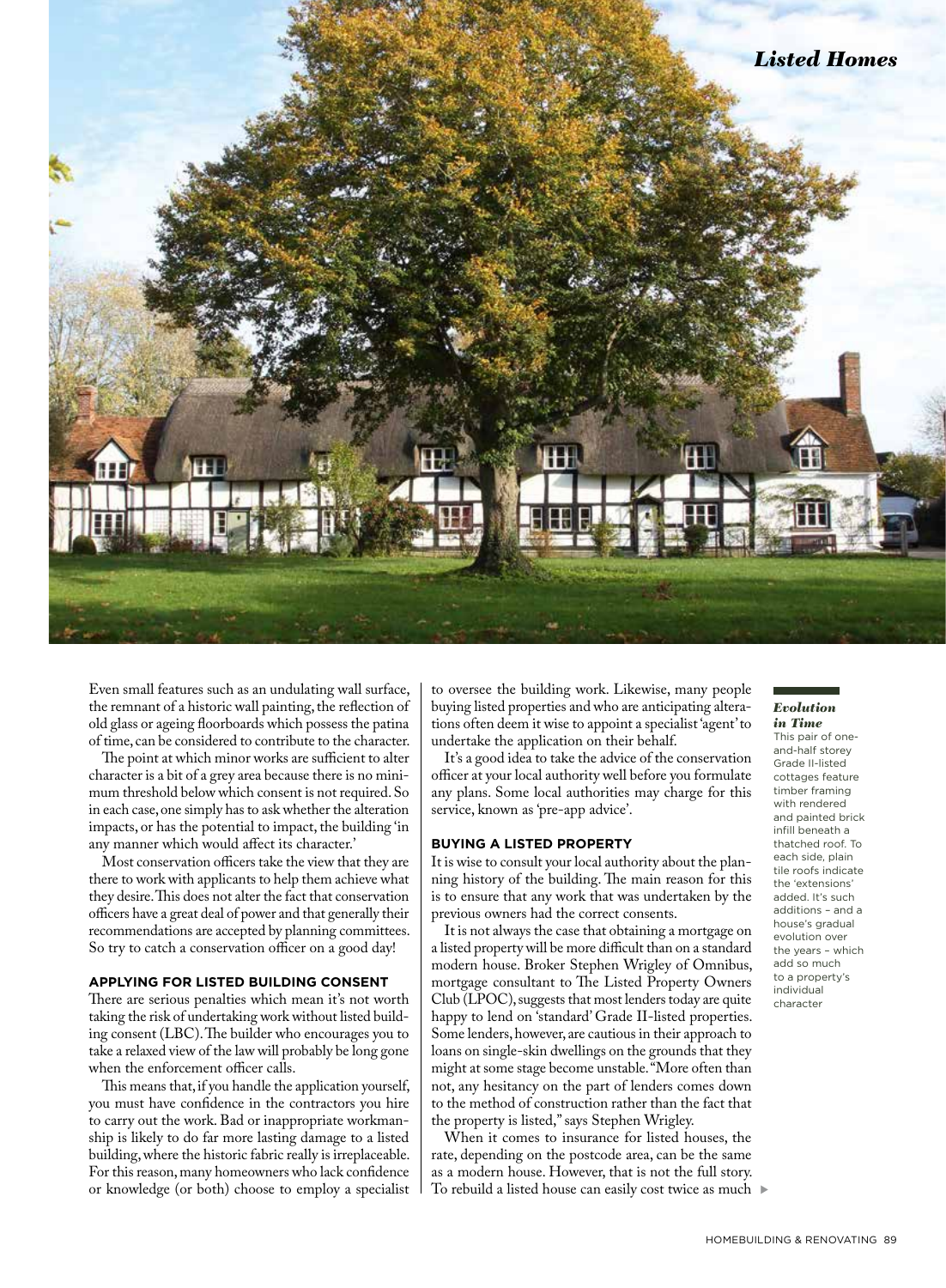

Even small features such as an undulating wall surface, the remnant of a historic wall painting, the reflection of old glass or ageing floorboards which possess the patina of time, can be considered to contribute to the character.

The point at which minor works are sufficient to alter character is a bit of a grey area because there is no minimum threshold below which consent is not required. So in each case, one simply has to ask whether the alteration impacts, or has the potential to impact, the building 'in any manner which would affect its character.'

Most conservation officers take the view that they are there to work with applicants to help them achieve what they desire. This does not alter the fact that conservation officers have a great deal of power and that generally their recommendations are accepted by planning committees. So try to catch a conservation officer on a good day!

#### **APPLYING FOR LISTED BUILDING CONSENT**

There are serious penalties which mean it's not worth taking the risk of undertaking work without listed building consent (LBC). The builder who encourages you to take a relaxed view of the law will probably be long gone when the enforcement officer calls.

This means that, if you handle the application yourself, you must have confidence in the contractors you hire to carry out the work. Bad or inappropriate workmanship is likely to do far more lasting damage to a listed building, where the historic fabric really is irreplaceable. For this reason, many homeowners who lack confidence or knowledge (or both) choose to employ a specialist to oversee the building work. Likewise, many people buying listed properties and who are anticipating alterations often deem it wise to appoint a specialist 'agent' to undertake the application on their behalf.

It's a good idea to take the advice of the conservation officer at your local authority well before you formulate any plans. Some local authorities may charge for this service, known as 'pre-app advice'.

#### **BUYING A LISTED PROPERTY**

It is wise to consult your local authority about the planning history of the building. The main reason for this is to ensure that any work that was undertaken by the previous owners had the correct consents.

It is not always the case that obtaining a mortgage on a listed property will be more difficult than on a standard modern house. Broker Stephen Wrigley of Omnibus, mortgage consultant to The Listed Property Owners Club (LPOC), suggests that most lenders today are quite happy to lend on 'standard' Grade II-listed properties. Some lenders, however, are cautious in their approach to loans on single-skin dwellings on the grounds that they might at some stage become unstable. "More often than not, any hesitancy on the part of lenders comes down to the method of construction rather than the fact that the property is listed," says Stephen Wrigley.

To rebuild a listed house can easily cost twice as much ▶ When it comes to insurance for listed houses, the rate, depending on the postcode area, can be the same as a modern house. However, that is not the full story.

#### *Evolution in Time*

This pair of oneand-half storey Grade II-listed cottages feature timber framing with rendered and painted brick infill beneath a thatched roof. To each side, plain tile roofs indicate the 'extensions' added. It's such additions – and a house's gradual evolution over the years – which add so much to a property's individual character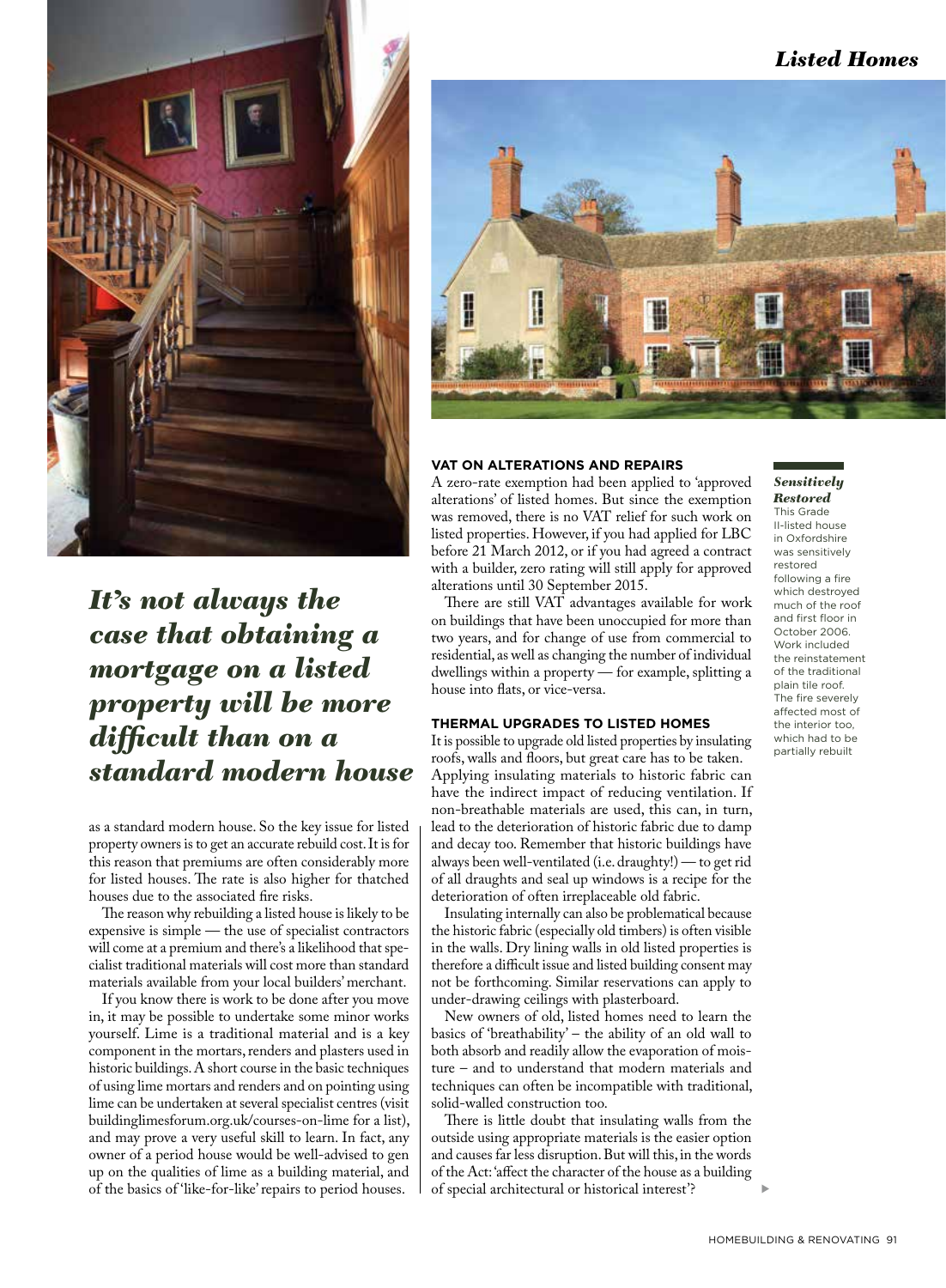

*It's not always the case that obtaining a mortgage on a listed property will be more difficult than on a standard modern house*

as a standard modern house. So the key issue for listed property owners is to get an accurate rebuild cost. It is for this reason that premiums are often considerably more for listed houses. The rate is also higher for thatched houses due to the associated fire risks.

The reason why rebuilding a listed house is likely to be expensive is simple — the use of specialist contractors will come at a premium and there's a likelihood that specialist traditional materials will cost more than standard materials available from your local builders' merchant.

If you know there is work to be done after you move in, it may be possible to undertake some minor works yourself. Lime is a traditional material and is a key component in the mortars, renders and plasters used in historic buildings. A short course in the basic techniques of using lime mortars and renders and on pointing using lime can be undertaken at several specialist centres (visit buildinglimesforum.org.uk/courses-on-lime for a list), and may prove a very useful skill to learn. In fact, any owner of a period house would be well-advised to gen up on the qualities of lime as a building material, and of the basics of 'like-for-like' repairs to period houses.



#### **VAT ON ALTERATIONS AND REPAIRS**

A zero-rate exemption had been applied to 'approved alterations' of listed homes. But since the exemption was removed, there is no VAT relief for such work on listed properties. However, if you had applied for LBC before 21 March 2012, or if you had agreed a contract with a builder, zero rating will still apply for approved alterations until 30 September 2015.

There are still VAT advantages available for work on buildings that have been unoccupied for more than two years, and for change of use from commercial to residential, as well as changing the number of individual dwellings within a property — for example, splitting a house into flats, or vice-versa.

#### **THERMAL UPGRADES TO LISTED HOMES**

It is possible to upgrade old listed properties by insulating roofs, walls and floors, but great care has to be taken. Applying insulating materials to historic fabric can have the indirect impact of reducing ventilation. If non-breathable materials are used, this can, in turn, lead to the deterioration of historic fabric due to damp and decay too. Remember that historic buildings have always been well-ventilated (i.e. draughty!) — to get rid of all draughts and seal up windows is a recipe for the deterioration of often irreplaceable old fabric.

Insulating internally can also be problematical because the historic fabric (especially old timbers) is often visible in the walls. Dry lining walls in old listed properties is therefore a difficult issue and listed building consent may not be forthcoming. Similar reservations can apply to under-drawing ceilings with plasterboard.

New owners of old, listed homes need to learn the basics of 'breathability' – the ability of an old wall to both absorb and readily allow the evaporation of moisture – and to understand that modern materials and techniques can often be incompatible with traditional, solid-walled construction too.

There is little doubt that insulating walls from the outside using appropriate materials is the easier option and causes far less disruption. But will this, in the words of the Act: 'affect the character of the house as a building of special architectural or historical interest'?

#### *Sensitively Restored* This Grade

II-listed house in Oxfordshire was sensitively restored following a fire which destroyed much of the roof and first floor in October 2006. Work included the reinstatement of the traditional plain tile roof. The fire severely affected most of the interior too, which had to be partially rebuilt

s